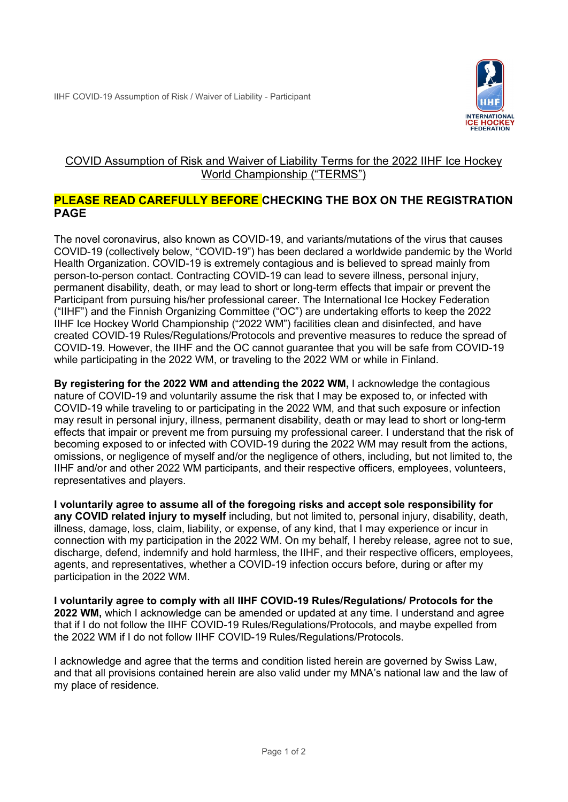

## COVID Assumption of Risk and Waiver of Liability Terms for the 2022 IIHF Ice Hockey World Championship ("TERMS")

## **PLEASE READ CAREFULLY BEFORE CHECKING THE BOX ON THE REGISTRATION PAGE**

The novel coronavirus, also known as COVID-19, and variants/mutations of the virus that causes COVID-19 (collectively below, "COVID-19") has been declared a worldwide pandemic by the World Health Organization. COVID-19 is extremely contagious and is believed to spread mainly from person-to-person contact. Contracting COVID-19 can lead to severe illness, personal injury, permanent disability, death, or may lead to short or long-term effects that impair or prevent the Participant from pursuing his/her professional career. The International Ice Hockey Federation ("IIHF") and the Finnish Organizing Committee ("OC") are undertaking efforts to keep the 2022 IIHF Ice Hockey World Championship ("2022 WM") facilities clean and disinfected, and have created COVID-19 Rules/Regulations/Protocols and preventive measures to reduce the spread of COVID-19. However, the IIHF and the OC cannot guarantee that you will be safe from COVID-19 while participating in the 2022 WM, or traveling to the 2022 WM or while in Finland.

**By registering for the 2022 WM and attending the 2022 WM,** I acknowledge the contagious nature of COVID-19 and voluntarily assume the risk that I may be exposed to, or infected with COVID-19 while traveling to or participating in the 2022 WM, and that such exposure or infection may result in personal injury, illness, permanent disability, death or may lead to short or long-term effects that impair or prevent me from pursuing my professional career. I understand that the risk of becoming exposed to or infected with COVID-19 during the 2022 WM may result from the actions, omissions, or negligence of myself and/or the negligence of others, including, but not limited to, the IIHF and/or and other 2022 WM participants, and their respective officers, employees, volunteers, representatives and players.

**I voluntarily agree to assume all of the foregoing risks and accept sole responsibility for any COVID related injury to myself** including, but not limited to, personal injury, disability, death, illness, damage, loss, claim, liability, or expense, of any kind, that I may experience or incur in connection with my participation in the 2022 WM. On my behalf, I hereby release, agree not to sue, discharge, defend, indemnify and hold harmless, the IIHF, and their respective officers, employees, agents, and representatives, whether a COVID-19 infection occurs before, during or after my participation in the 2022 WM.

**I voluntarily agree to comply with all IIHF COVID-19 Rules/Regulations/ Protocols for the 2022 WM,** which I acknowledge can be amended or updated at any time. I understand and agree that if I do not follow the IIHF COVID-19 Rules/Regulations/Protocols, and maybe expelled from the 2022 WM if I do not follow IIHF COVID-19 Rules/Regulations/Protocols.

I acknowledge and agree that the terms and condition listed herein are governed by Swiss Law, and that all provisions contained herein are also valid under my MNA's national law and the law of my place of residence.